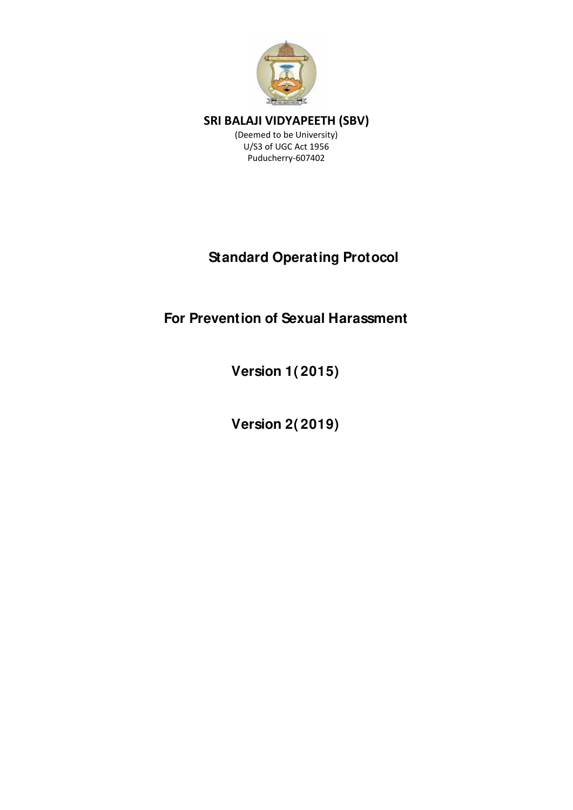

(Deemed to be University) U/S3 of UGC Act 1956 Puducherry-607402

# **Standard Operating Protocol**

# **For Prevention of Sexual Harassment**

**Version 1( 2015)** 

**Version 2( 2019)**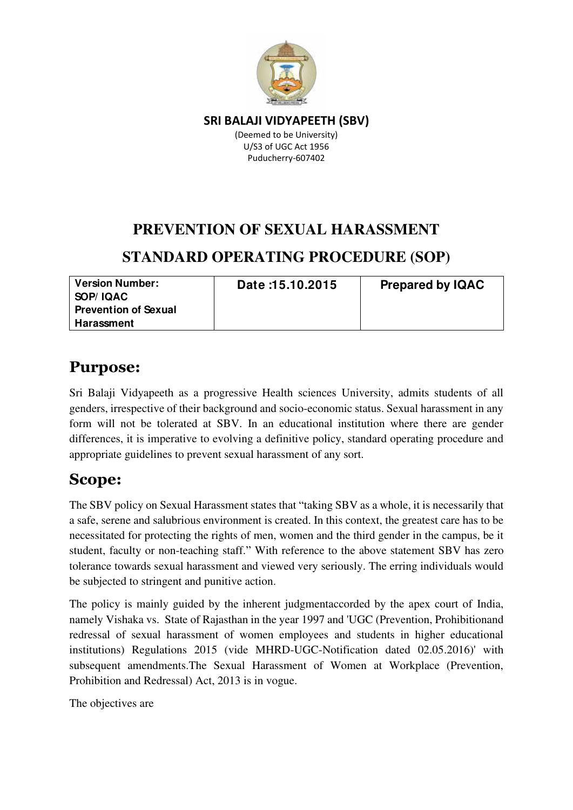

(Deemed to be University) U/S3 of UGC Act 1956 Puducherry-607402

### **PREVENTION OF SEXUAL HARASSMENT**

### **STANDARD OPERATING PROCEDURE (SOP)**

**Version Number: SOP/ IQAC Prevention of Sexual Harassment** 

**Date :15.10.2015 Prepared by IQAC** 

### **Purpose:**

Sri Balaji Vidyapeeth as a progressive Health sciences University, admits students of all genders, irrespective of their background and socio-economic status. Sexual harassment in any form will not be tolerated at SBV. In an educational institution where there are gender differences, it is imperative to evolving a definitive policy, standard operating procedure and appropriate guidelines to prevent sexual harassment of any sort.

### **Scope:**

The SBV policy on Sexual Harassment states that "taking SBV as a whole, it is necessarily that a safe, serene and salubrious environment is created. In this context, the greatest care has to be necessitated for protecting the rights of men, women and the third gender in the campus, be it student, faculty or non-teaching staff." With reference to the above statement SBV has zero tolerance towards sexual harassment and viewed very seriously. The erring individuals would be subjected to stringent and punitive action.

The policy is mainly guided by the inherent judgmentaccorded by the apex court of India, namely Vishaka vs. State of Rajasthan in the year 1997 and 'UGC (Prevention, Prohibitionand redressal of sexual harassment of women employees and students in higher educational institutions) Regulations 2015 (vide MHRD-UGC-Notification dated 02.05.2016)' with subsequent amendments.The Sexual Harassment of Women at Workplace (Prevention, Prohibition and Redressal) Act, 2013 is in vogue.

The objectives are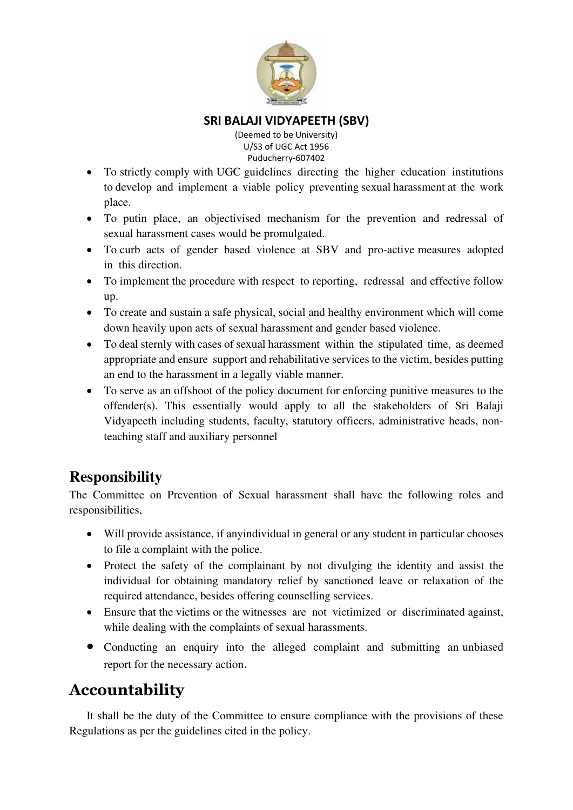

(Deemed to be University) U/S3 of UGC Act 1956 Puducherry-607402

- To strictly comply with UGC guidelines directing the higher education institutions to develop and implement a viable policy preventing sexual harassment at the work place.
- To putin place, an objectivised mechanism for the prevention and redressal of sexual harassment cases would be promulgated.
- To curb acts of gender based violence at SBV and pro-active measures adopted in this direction.
- To implement the procedure with respect to reporting, redressal and effective follow up.
- To create and sustain a safe physical, social and healthy environment which will come down heavily upon acts of sexual harassment and gender based violence.
- To deal sternly with cases of sexual harassment within the stipulated time, as deemed appropriate and ensure support and rehabilitative services to the victim, besides putting an end to the harassment in a legally viable manner.
- To serve as an offshoot of the policy document for enforcing punitive measures to the offender(s). This essentially would apply to all the stakeholders of Sri Balaji Vidyapeeth including students, faculty, statutory officers, administrative heads, nonteaching staff and auxiliary personnel

### **Responsibility**

The Committee on Prevention of Sexual harassment shall have the following roles and responsibilities,

- Will provide assistance, if anyindividual in general or any student in particular chooses to file a complaint with the police.
- Protect the safety of the complainant by not divulging the identity and assist the individual for obtaining mandatory relief by sanctioned leave or relaxation of the required attendance, besides offering counselling services.
- Ensure that the victims or the witnesses are not victimized or discriminated against, while dealing with the complaints of sexual harassments.
- Conducting an enquiry into the alleged complaint and submitting an unbiased report for the necessary action.

# **Accountability**

It shall be the duty of the Committee to ensure compliance with the provisions of these Regulations as per the guidelines cited in the policy.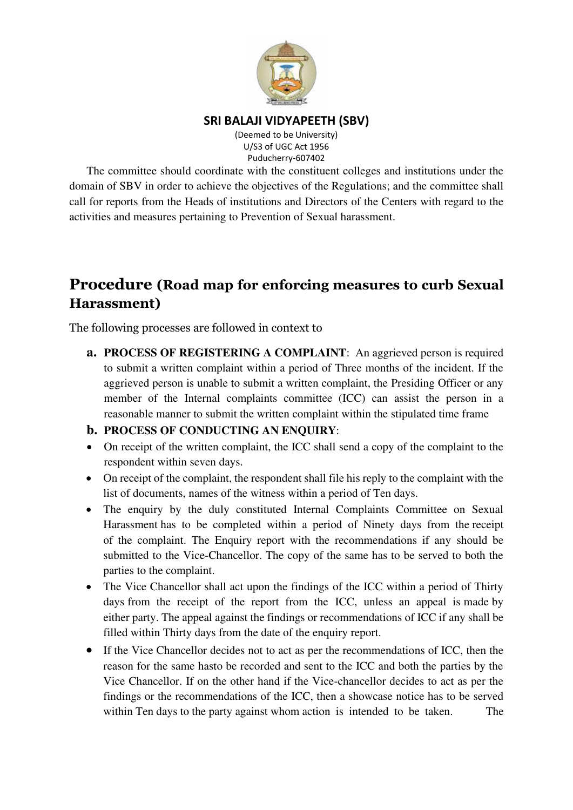

(Deemed to be University) U/S3 of UGC Act 1956 Puducherry-607402

The committee should coordinate with the constituent colleges and institutions under the domain of SBV in order to achieve the objectives of the Regulations; and the committee shall call for reports from the Heads of institutions and Directors of the Centers with regard to the activities and measures pertaining to Prevention of Sexual harassment.

### **Procedure (Road map for enforcing measures to curb Sexual Harassment)**

The following processes are followed in context to

**a. PROCESS OF REGISTERING A COMPLAINT**: An aggrieved person is required to submit a written complaint within a period of Three months of the incident. If the aggrieved person is unable to submit a written complaint, the Presiding Officer or any member of the Internal complaints committee (ICC) can assist the person in a reasonable manner to submit the written complaint within the stipulated time frame

#### **b. PROCESS OF CONDUCTING AN ENQUIRY**:

- On receipt of the written complaint, the ICC shall send a copy of the complaint to the respondent within seven days.
- On receipt of the complaint, the respondent shall file his reply to the complaint with the list of documents, names of the witness within a period of Ten days.
- The enquiry by the duly constituted Internal Complaints Committee on Sexual Harassment has to be completed within a period of Ninety days from the receipt of the complaint. The Enquiry report with the recommendations if any should be submitted to the Vice-Chancellor. The copy of the same has to be served to both the parties to the complaint.
- The Vice Chancellor shall act upon the findings of the ICC within a period of Thirty days from the receipt of the report from the ICC, unless an appeal is made by either party. The appeal against the findings or recommendations of ICC if any shall be filled within Thirty days from the date of the enquiry report.
- If the Vice Chancellor decides not to act as per the recommendations of ICC, then the reason for the same hasto be recorded and sent to the ICC and both the parties by the Vice Chancellor. If on the other hand if the Vice-chancellor decides to act as per the findings or the recommendations of the ICC, then a showcase notice has to be served within Ten days to the party against whom action is intended to be taken. The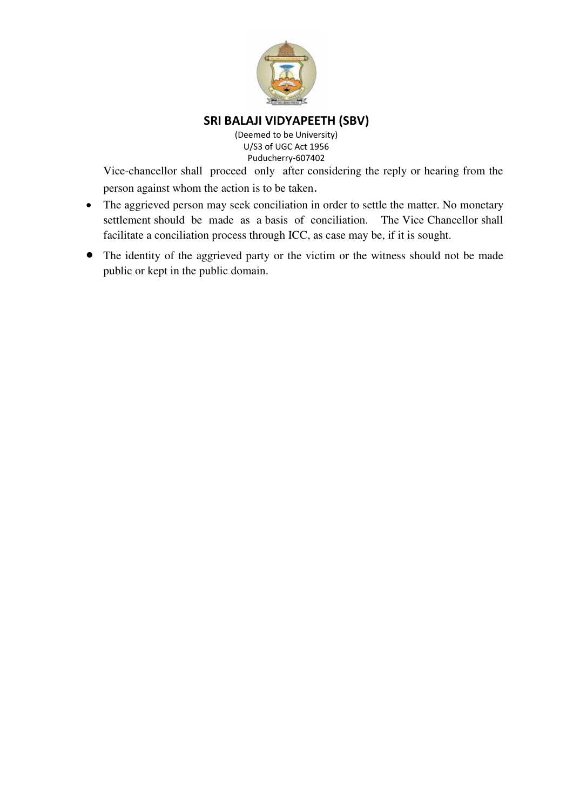

(Deemed to be University) U/S3 of UGC Act 1956 Puducherry-607402

Vice-chancellor shall proceed only after considering the reply or hearing from the person against whom the action is to be taken.

- The aggrieved person may seek conciliation in order to settle the matter. No monetary settlement should be made as a basis of conciliation. The Vice Chancellor shall facilitate a conciliation process through ICC, as case may be, if it is sought.
- The identity of the aggrieved party or the victim or the witness should not be made public or kept in the public domain.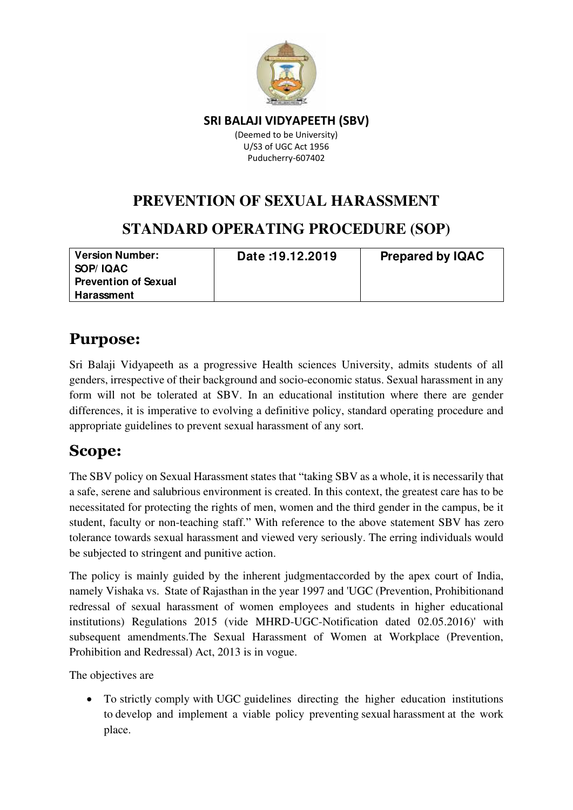

(Deemed to be University) U/S3 of UGC Act 1956 Puducherry-607402

# **PREVENTION OF SEXUAL HARASSMENT STANDARD OPERATING PROCEDURE (SOP)**

| <b>Version Number:</b><br>SOP/IQAC<br><b>Prevention of Sexual</b> | Date: 19.12.2019 | <b>Prepared by IQAC</b> |
|-------------------------------------------------------------------|------------------|-------------------------|
| Harassment                                                        |                  |                         |

# **Purpose:**

Sri Balaji Vidyapeeth as a progressive Health sciences University, admits students of all genders, irrespective of their background and socio-economic status. Sexual harassment in any form will not be tolerated at SBV. In an educational institution where there are gender differences, it is imperative to evolving a definitive policy, standard operating procedure and appropriate guidelines to prevent sexual harassment of any sort.

# **Scope:**

The SBV policy on Sexual Harassment states that "taking SBV as a whole, it is necessarily that a safe, serene and salubrious environment is created. In this context, the greatest care has to be necessitated for protecting the rights of men, women and the third gender in the campus, be it student, faculty or non-teaching staff." With reference to the above statement SBV has zero tolerance towards sexual harassment and viewed very seriously. The erring individuals would be subjected to stringent and punitive action.

The policy is mainly guided by the inherent judgmentaccorded by the apex court of India, namely Vishaka vs. State of Rajasthan in the year 1997 and 'UGC (Prevention, Prohibitionand redressal of sexual harassment of women employees and students in higher educational institutions) Regulations 2015 (vide MHRD-UGC-Notification dated 02.05.2016)' with subsequent amendments.The Sexual Harassment of Women at Workplace (Prevention, Prohibition and Redressal) Act, 2013 is in vogue.

The objectives are

• To strictly comply with UGC guidelines directing the higher education institutions to develop and implement a viable policy preventing sexual harassment at the work place.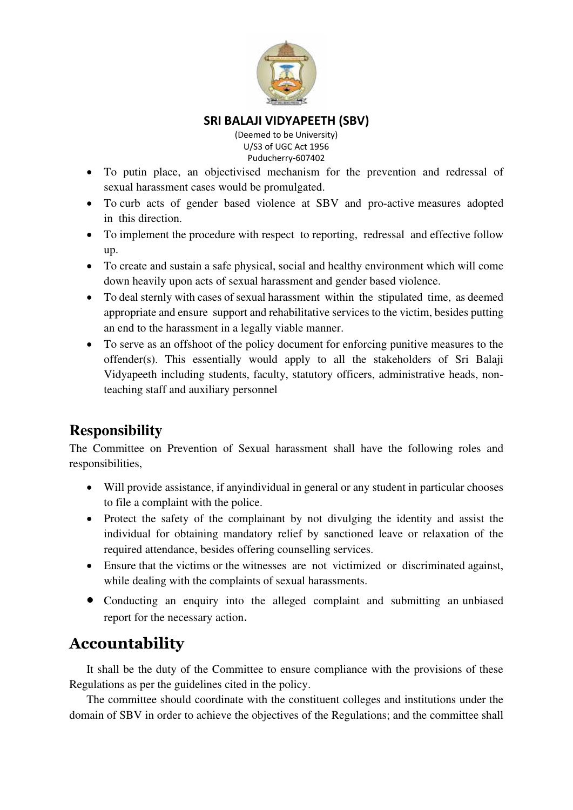

(Deemed to be University) U/S3 of UGC Act 1956 Puducherry-607402

- To putin place, an objectivised mechanism for the prevention and redressal of sexual harassment cases would be promulgated.
- To curb acts of gender based violence at SBV and pro-active measures adopted in this direction.
- To implement the procedure with respect to reporting, redressal and effective follow up.
- To create and sustain a safe physical, social and healthy environment which will come down heavily upon acts of sexual harassment and gender based violence.
- To deal sternly with cases of sexual harassment within the stipulated time, as deemed appropriate and ensure support and rehabilitative services to the victim, besides putting an end to the harassment in a legally viable manner.
- To serve as an offshoot of the policy document for enforcing punitive measures to the offender(s). This essentially would apply to all the stakeholders of Sri Balaji Vidyapeeth including students, faculty, statutory officers, administrative heads, nonteaching staff and auxiliary personnel

### **Responsibility**

The Committee on Prevention of Sexual harassment shall have the following roles and responsibilities,

- Will provide assistance, if anyindividual in general or any student in particular chooses to file a complaint with the police.
- Protect the safety of the complainant by not divulging the identity and assist the individual for obtaining mandatory relief by sanctioned leave or relaxation of the required attendance, besides offering counselling services.
- Ensure that the victims or the witnesses are not victimized or discriminated against, while dealing with the complaints of sexual harassments.
- Conducting an enquiry into the alleged complaint and submitting an unbiased report for the necessary action.

### **Accountability**

It shall be the duty of the Committee to ensure compliance with the provisions of these Regulations as per the guidelines cited in the policy.

The committee should coordinate with the constituent colleges and institutions under the domain of SBV in order to achieve the objectives of the Regulations; and the committee shall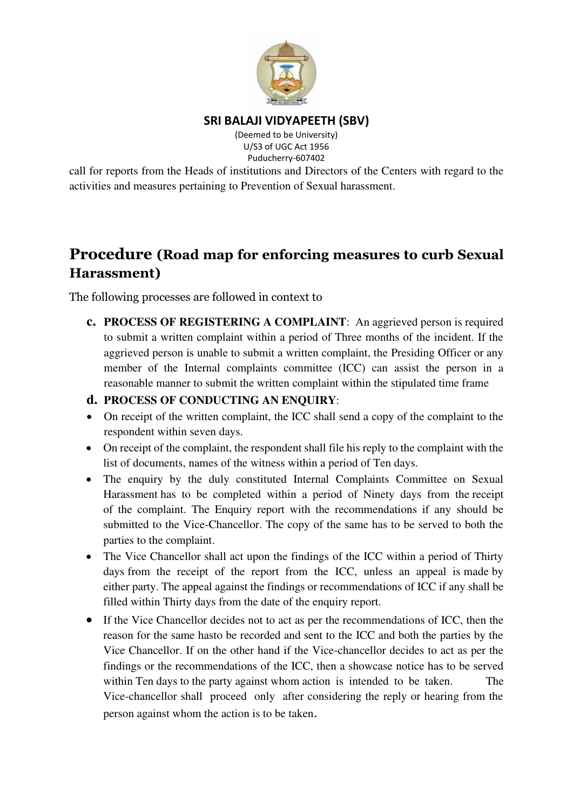

(Deemed to be University) U/S3 of UGC Act 1956 Puducherry-607402

call for reports from the Heads of institutions and Directors of the Centers with regard to the activities and measures pertaining to Prevention of Sexual harassment.

### **Procedure (Road map for enforcing measures to curb Sexual Harassment)**

The following processes are followed in context to

**c. PROCESS OF REGISTERING A COMPLAINT**: An aggrieved person is required to submit a written complaint within a period of Three months of the incident. If the aggrieved person is unable to submit a written complaint, the Presiding Officer or any member of the Internal complaints committee (ICC) can assist the person in a reasonable manner to submit the written complaint within the stipulated time frame

#### **d. PROCESS OF CONDUCTING AN ENQUIRY**:

- On receipt of the written complaint, the ICC shall send a copy of the complaint to the respondent within seven days.
- On receipt of the complaint, the respondent shall file his reply to the complaint with the list of documents, names of the witness within a period of Ten days.
- The enquiry by the duly constituted Internal Complaints Committee on Sexual Harassment has to be completed within a period of Ninety days from the receipt of the complaint. The Enquiry report with the recommendations if any should be submitted to the Vice-Chancellor. The copy of the same has to be served to both the parties to the complaint.
- The Vice Chancellor shall act upon the findings of the ICC within a period of Thirty days from the receipt of the report from the ICC, unless an appeal is made by either party. The appeal against the findings or recommendations of ICC if any shall be filled within Thirty days from the date of the enquiry report.
- If the Vice Chancellor decides not to act as per the recommendations of ICC, then the reason for the same hasto be recorded and sent to the ICC and both the parties by the Vice Chancellor. If on the other hand if the Vice-chancellor decides to act as per the findings or the recommendations of the ICC, then a showcase notice has to be served within Ten days to the party against whom action is intended to be taken. The Vice-chancellor shall proceed only after considering the reply or hearing from the person against whom the action is to be taken.